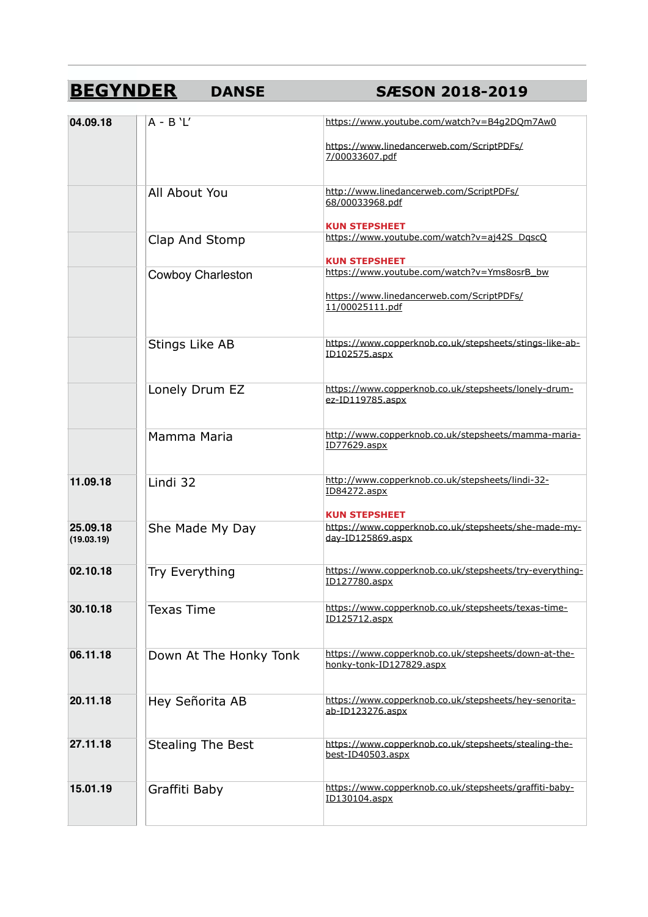## **BEGYNDER DANSE SÆSON 2018-2019**

| 04.09.18               | $A - B' L'$              | https://www.youtube.com/watch?v=B4g2DQm7Aw0                                              |
|------------------------|--------------------------|------------------------------------------------------------------------------------------|
|                        |                          | https://www.linedancerweb.com/ScriptPDFs/<br>7/00033607.pdf                              |
|                        | All About You            | http://www.linedancerweb.com/ScriptPDFs/<br>68/00033968.pdf                              |
|                        |                          | <b>KUN STEPSHEET</b><br>https://www.youtube.com/watch?v=aj42S_DqscQ                      |
|                        | Clap And Stomp           | <b>KUN STEPSHEET</b>                                                                     |
|                        | <b>Cowboy Charleston</b> | https://www.youtube.com/watch?v=Yms8osrB_bw                                              |
|                        |                          | https://www.linedancerweb.com/ScriptPDFs/<br>11/00025111.pdf                             |
|                        | Stings Like AB           | https://www.copperknob.co.uk/stepsheets/stings-like-ab-<br>ID102575.aspx                 |
|                        | Lonely Drum EZ           | https://www.copperknob.co.uk/stepsheets/lonely-drum-<br>ez-ID119785.aspx                 |
|                        | Mamma Maria              | http://www.copperknob.co.uk/stepsheets/mamma-maria-<br>ID77629.aspx                      |
| 11.09.18               | Lindi 32                 | http://www.copperknob.co.uk/stepsheets/lindi-32-<br>ID84272.aspx<br><b>KUN STEPSHEET</b> |
| 25.09.18<br>(19.03.19) | She Made My Day          | https://www.copperknob.co.uk/stepsheets/she-made-my-<br>day-ID125869.aspx                |
| 02.10.18               | <b>Try Everything</b>    | https://www.copperknob.co.uk/stepsheets/try-everything-<br>ID127780.aspx                 |
| 30.10.18               | Texas Time               | https://www.copperknob.co.uk/stepsheets/texas-time-<br>ID125712.aspx                     |
| 06.11.18               | Down At The Honky Tonk   | https://www.copperknob.co.uk/stepsheets/down-at-the-<br>honky-tonk-ID127829.aspx         |
| 20.11.18               | Hey Señorita AB          | https://www.copperknob.co.uk/stepsheets/hey-senorita-<br>ab-ID123276.aspx                |
| 27.11.18               | <b>Stealing The Best</b> | https://www.copperknob.co.uk/stepsheets/stealing-the-<br>best-ID40503.aspx               |
| 15.01.19               | Graffiti Baby            | https://www.copperknob.co.uk/stepsheets/graffiti-baby-<br>ID130104.aspx                  |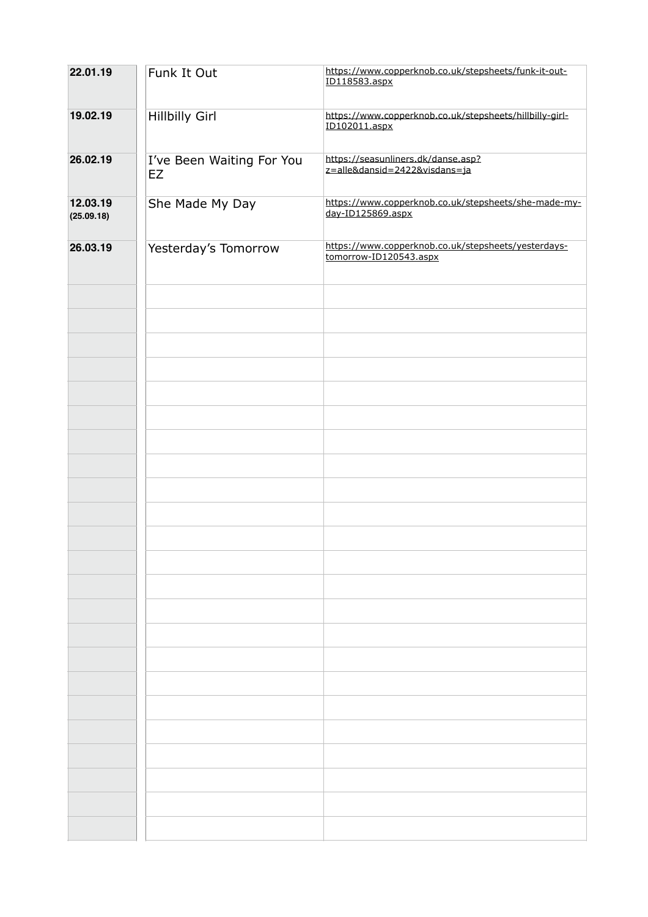| 22.01.19               | Funk It Out                            | https://www.copperknob.co.uk/stepsheets/funk-it-out-<br>ID118583.aspx         |
|------------------------|----------------------------------------|-------------------------------------------------------------------------------|
| 19.02.19               | <b>Hillbilly Girl</b>                  | https://www.copperknob.co.uk/stepsheets/hillbilly-girl-<br>ID102011.aspx      |
| 26.02.19               | I've Been Waiting For You<br><b>EZ</b> | https://seasunliners.dk/danse.asp?<br>z=alle&dansid=2422&visdans=ja           |
| 12.03.19<br>(25.09.18) | She Made My Day                        | https://www.copperknob.co.uk/stepsheets/she-made-my-<br>day-ID125869.aspx     |
| 26.03.19               | Yesterday's Tomorrow                   | https://www.copperknob.co.uk/stepsheets/yesterdays-<br>tomorrow-ID120543.aspx |
|                        |                                        |                                                                               |
|                        |                                        |                                                                               |
|                        |                                        |                                                                               |
|                        |                                        |                                                                               |
|                        |                                        |                                                                               |
|                        |                                        |                                                                               |
|                        |                                        |                                                                               |
|                        |                                        |                                                                               |
|                        |                                        |                                                                               |
|                        |                                        |                                                                               |
|                        |                                        |                                                                               |
|                        |                                        |                                                                               |
|                        |                                        |                                                                               |
|                        |                                        |                                                                               |
|                        |                                        |                                                                               |
|                        |                                        |                                                                               |
|                        |                                        |                                                                               |
|                        |                                        |                                                                               |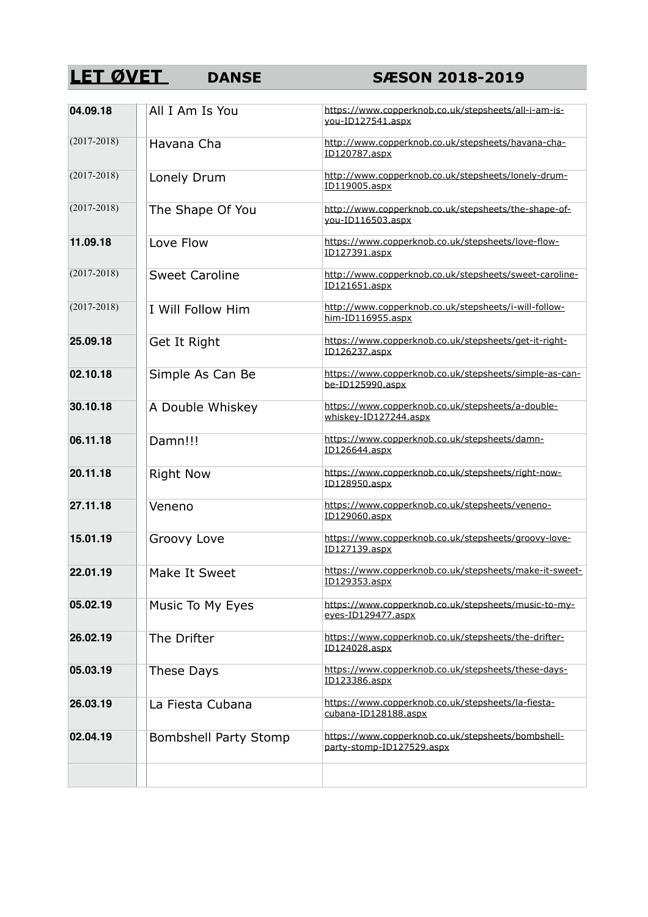## **LET ØVET** DANSE SÆSON 2018-2019

| 04.09.18        | All I Am Is You              | https://www.copperknob.co.uk/stepsheets/all-i-am-is-<br>you-ID127541.aspx       |
|-----------------|------------------------------|---------------------------------------------------------------------------------|
| $(2017 - 2018)$ | Havana Cha                   | http://www.copperknob.co.uk/stepsheets/havana-cha-<br>ID120787.aspx             |
| $(2017 - 2018)$ | Lonely Drum                  | http://www.copperknob.co.uk/stepsheets/lonely-drum-<br>ID119005.aspx            |
| $(2017 - 2018)$ | The Shape Of You             | http://www.copperknob.co.uk/stepsheets/the-shape-of-<br>you-ID116503.aspx       |
| 11.09.18        | Love Flow                    | https://www.copperknob.co.uk/stepsheets/love-flow-<br>ID127391.aspx             |
| $(2017 - 2018)$ | <b>Sweet Caroline</b>        | http://www.copperknob.co.uk/stepsheets/sweet-caroline-<br>ID121651.aspx         |
| $(2017 - 2018)$ | I Will Follow Him            | http://www.copperknob.co.uk/stepsheets/i-will-follow-<br>him-ID116955.aspx      |
| 25.09.18        | Get It Right                 | https://www.copperknob.co.uk/stepsheets/get-it-right-<br>ID126237.aspx          |
| 02.10.18        | Simple As Can Be             | https://www.copperknob.co.uk/stepsheets/simple-as-can-<br>be-ID125990.aspx      |
| 30.10.18        | A Double Whiskey             | https://www.copperknob.co.uk/stepsheets/a-double-<br>whiskey-ID127244.aspx      |
| 06.11.18        | Damn!!!                      | https://www.copperknob.co.uk/stepsheets/damn-<br>ID126644.aspx                  |
| 20.11.18        | <b>Right Now</b>             | https://www.copperknob.co.uk/stepsheets/right-now-<br>ID128950.aspx             |
| 27.11.18        | Veneno                       | https://www.copperknob.co.uk/stepsheets/veneno-<br>ID129060.aspx                |
| 15.01.19        | Groovy Love                  | https://www.copperknob.co.uk/stepsheets/groovy-love-<br>ID127139.aspx           |
| 22.01.19        | Make It Sweet                | https://www.copperknob.co.uk/stepsheets/make-it-sweet-<br>ID129353.aspx         |
| 05.02.19        | Music To My Eyes             | https://www.copperknob.co.uk/stepsheets/music-to-my-<br>eyes-ID129477.aspx      |
| 26.02.19        | The Drifter                  | https://www.copperknob.co.uk/stepsheets/the-drifter-<br>ID124028.aspx           |
| 05.03.19        | These Days                   | https://www.copperknob.co.uk/stepsheets/these-days-<br>ID123386.aspx            |
| 26.03.19        | La Fiesta Cubana             | https://www.copperknob.co.uk/stepsheets/la-fiesta-<br>cubana-ID128188.aspx      |
| 02.04.19        | <b>Bombshell Party Stomp</b> | https://www.copperknob.co.uk/stepsheets/bombshell-<br>party-stomp-ID127529.aspx |
|                 |                              |                                                                                 |